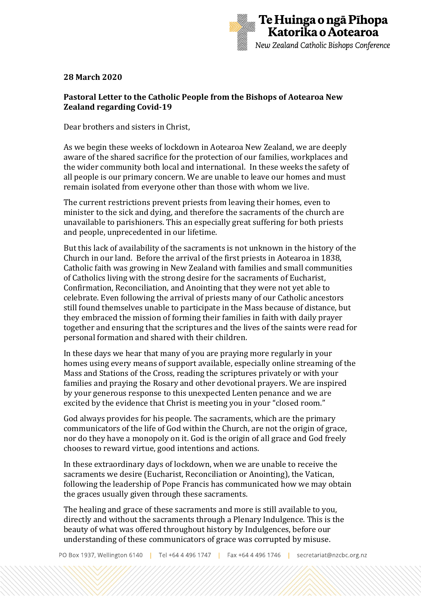

## **28 March 2020**

## **Pastoral Letter to the Catholic People from the Bishops of Aotearoa New Zealand regarding Covid-19**

Dear brothers and sisters in Christ,

As we begin these weeks of lockdown in Aotearoa New Zealand, we are deeply aware of the shared sacrifice for the protection of our families, workplaces and the wider community both local and international. In these weeks the safety of all people is our primary concern. We are unable to leave our homes and must remain isolated from everyone other than those with whom we live.

The current restrictions prevent priests from leaving their homes, even to minister to the sick and dying, and therefore the sacraments of the church are unavailable to parishioners. This an especially great suffering for both priests and people, unprecedented in our lifetime.

But this lack of availability of the sacraments is not unknown in the history of the Church in our land. Before the arrival of the first priests in Aotearoa in 1838, Catholic faith was growing in New Zealand with families and small communities of Catholics living with the strong desire for the sacraments of Eucharist, Confirmation, Reconciliation, and Anointing that they were not yet able to celebrate. Even following the arrival of priests many of our Catholic ancestors still found themselves unable to participate in the Mass because of distance, but they embraced the mission of forming their families in faith with daily prayer together and ensuring that the scriptures and the lives of the saints were read for personal formation and shared with their children.

In these days we hear that many of you are praying more regularly in your homes using every means of support available, especially online streaming of the Mass and Stations of the Cross, reading the scriptures privately or with your families and praying the Rosary and other devotional prayers. We are inspired by your generous response to this unexpected Lenten penance and we are excited by the evidence that Christ is meeting you in your "closed room."

God always provides for his people. The sacraments, which are the primary communicators of the life of God within the Church, are not the origin of grace, nor do they have a monopoly on it. God is the origin of all grace and God freely chooses to reward virtue, good intentions and actions.

In these extraordinary days of lockdown, when we are unable to receive the sacraments we desire (Eucharist, Reconciliation or Anointing), the Vatican, following the leadership of Pope Francis has communicated how we may obtain the graces usually given through these sacraments.

The healing and grace of these sacraments and more is still available to you, directly and without the sacraments through a Plenary Indulgence. This is the beauty of what was offered throughout history by Indulgences, before our understanding of these communicators of grace was corrupted by misuse.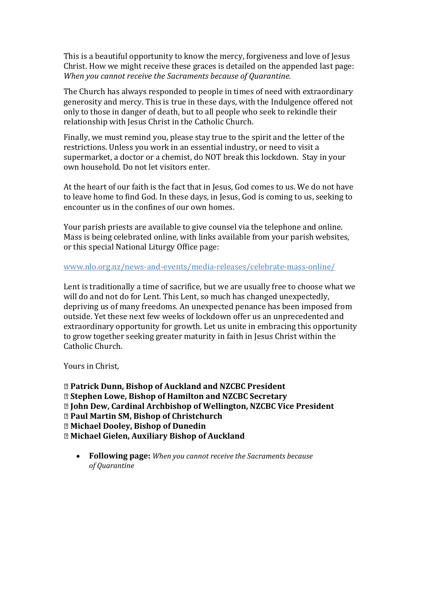This is a beautiful opportunity to know the mercy, forgiveness and love of Jesus Christ. How we might receive these graces is detailed on the appended last page: *When you cannot receive the Sacraments because of Quarantine.*

The Church has always responded to people in times of need with extraordinary generosity and mercy. This is true in these days, with the Indulgence offered not only to those in danger of death, but to all people who seek to rekindle their relationship with Jesus Christ in the Catholic Church.

Finally, we must remind you, please stay true to the spirit and the letter of the restrictions. Unless you work in an essential industry, or need to visit a supermarket, a doctor or a chemist, do NOT break this lockdown. Stay in your own household. Do not let visitors enter.

At the heart of our faith is the fact that in Jesus, God comes to us. We do not have to leave home to find God. In these days, in Jesus, God is coming to us, seeking to encounter us in the confines of our own homes.

Your parish priests are available to give counsel via the telephone and online. Mass is being celebrated online, with links available from your parish websites, or this special National Liturgy Office page:

## [www.nlo.org.nz/news-and-events/media-releases/celebrate-mass-online/](http://www.nlo.org.nz/news-and-events/media-releases/celebrate-mass-online/)

Lent is traditionally a time of sacrifice, but we are usually free to choose what we will do and not do for Lent. This Lent, so much has changed unexpectedly, depriving us of many freedoms. An unexpected penance has been imposed from outside. Yet these next few weeks of lockdown offer us an unprecedented and extraordinary opportunity for growth. Let us unite in embracing this opportunity to grow together seeking greater maturity in faith in Jesus Christ within the Catholic Church.

Yours in Christ,

**✠ Patrick Dunn, Bishop of Auckland and NZCBC President ✠ Stephen Lowe, Bishop of Hamilton and NZCBC Secretary ✠ John Dew, Cardinal Archbishop of Wellington, NZCBC Vice President ✠ Paul Martin SM, Bishop of Christchurch ✠ Michael Dooley, Bishop of Dunedin ✠ Michael Gielen, Auxiliary Bishop of Auckland**

• **Following page:** *When you cannot receive the Sacraments because of Quarantine*